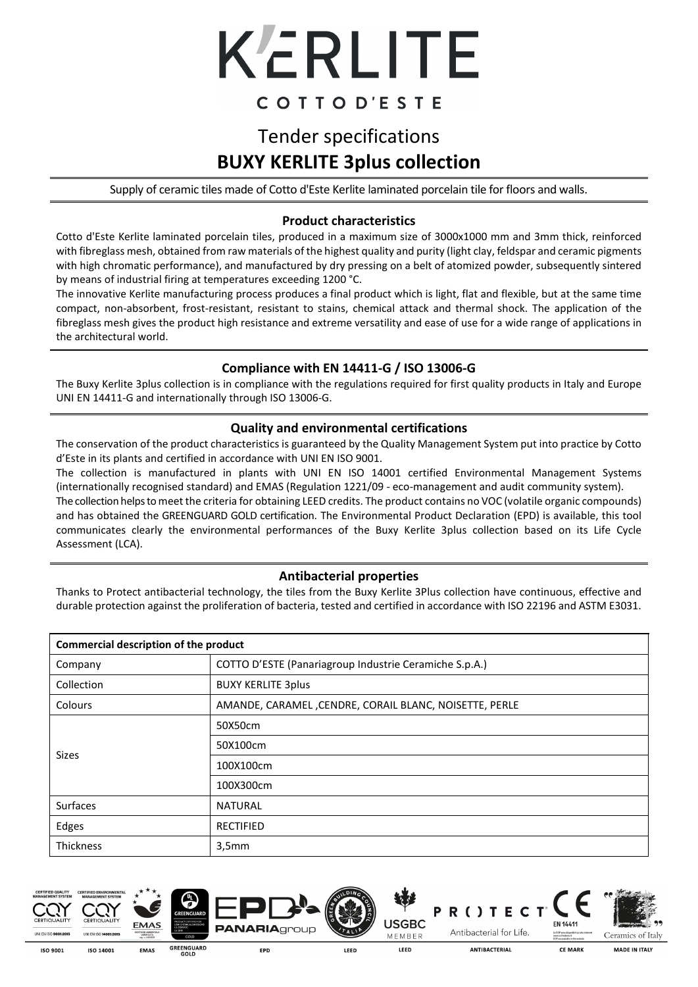

## COTTOD'ESTE

# Tender specifications **BUXY KERLITE 3plus collection**

Supply of ceramic tiles made of Cotto d'Este Kerlite laminated porcelain tile for floors and walls.

#### **Product characteristics**

Cotto d'Este Kerlite laminated porcelain tiles, produced in a maximum size of 3000x1000 mm and 3mm thick, reinforced with fibreglass mesh, obtained from raw materials of the highest quality and purity (light clay, feldspar and ceramic pigments with high chromatic performance), and manufactured by dry pressing on a belt of atomized powder, subsequently sintered by means of industrial firing at temperatures exceeding 1200 °C.

The innovative Kerlite manufacturing process produces a final product which is light, flat and flexible, but at the same time compact, non-absorbent, frost-resistant, resistant to stains, chemical attack and thermal shock. The application of the fibreglass mesh gives the product high resistance and extreme versatility and ease of use for a wide range of applications in the architectural world.

#### **Compliance with EN 14411-G / ISO 13006-G**

The Buxy Kerlite 3plus collection is in compliance with the regulations required for first quality products in Italy and Europe UNI EN 14411-G and internationally through ISO 13006-G.

#### **Quality and environmental certifications**

The conservation of the product characteristics is guaranteed by the Quality Management System put into practice by Cotto d'Este in its plants and certified in accordance with UNI EN ISO 9001.

The collection is manufactured in plants with UNI EN ISO 14001 certified Environmental Management Systems (internationally recognised standard) and EMAS (Regulation 1221/09 - eco-management and audit community system). The collection helps to meet the criteria for obtaining LEED credits. The product contains no VOC (volatile organic compounds) and has obtained the GREENGUARD GOLD certification. The Environmental Product Declaration (EPD) is available, this tool communicates clearly the environmental performances of the Buxy Kerlite 3plus collection based on its Life Cycle Assessment (LCA).

#### **Antibacterial properties**

Thanks to Protect antibacterial technology, the tiles from the Buxy Kerlite 3Plus collection have continuous, effective and durable protection against the proliferation of bacteria, tested and certified in accordance with ISO 22196 and ASTM E3031.

| Commercial description of the product |                                                        |  |  |  |
|---------------------------------------|--------------------------------------------------------|--|--|--|
| Company                               | COTTO D'ESTE (Panariagroup Industrie Ceramiche S.p.A.) |  |  |  |
| Collection                            | <b>BUXY KERLITE 3plus</b>                              |  |  |  |
| Colours                               | AMANDE, CARAMEL, CENDRE, CORAIL BLANC, NOISETTE, PERLE |  |  |  |
|                                       | 50X50cm                                                |  |  |  |
|                                       | 50X100cm                                               |  |  |  |
| Sizes                                 | 100X100cm                                              |  |  |  |
|                                       | 100X300cm                                              |  |  |  |
| Surfaces                              | <b>NATURAL</b>                                         |  |  |  |
| Edges                                 | <b>RECTIFIED</b>                                       |  |  |  |
| Thickness                             | 3,5mm                                                  |  |  |  |